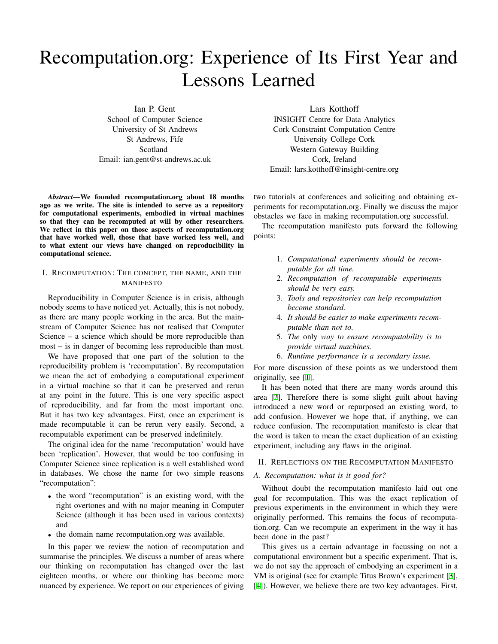# Recomputation.org: Experience of Its First Year and Lessons Learned

Ian P. Gent School of Computer Science University of St Andrews St Andrews, Fife Scotland Email: ian.gent@st-andrews.ac.uk

*Abstract*—We founded recomputation.org about 18 months ago as we write. The site is intended to serve as a repository for computational experiments, embodied in virtual machines so that they can be recomputed at will by other researchers. We reflect in this paper on those aspects of recomputation.org that have worked well, those that have worked less well, and to what extent our views have changed on reproducibility in computational science.

# I. RECOMPUTATION: THE CONCEPT, THE NAME, AND THE MANIFESTO

Reproducibility in Computer Science is in crisis, although nobody seems to have noticed yet. Actually, this is not nobody, as there are many people working in the area. But the mainstream of Computer Science has not realised that Computer Science – a science which should be more reproducible than most – is in danger of becoming less reproducible than most.

We have proposed that one part of the solution to the reproducibility problem is 'recomputation'. By recomputation we mean the act of embodying a computational experiment in a virtual machine so that it can be preserved and rerun at any point in the future. This is one very specific aspect of reproducibility, and far from the most important one. But it has two key advantages. First, once an experiment is made recomputable it can be rerun very easily. Second, a recomputable experiment can be preserved indefinitely.

The original idea for the name 'recomputation' would have been 'replication'. However, that would be too confusing in Computer Science since replication is a well established word in databases. We chose the name for two simple reasons "recomputation":

- the word "recomputation" is an existing word, with the right overtones and with no major meaning in Computer Science (although it has been used in various contexts) and
- *•* the domain name recomputation.org was available.

In this paper we review the notion of recomputation and summarise the principles. We discuss a number of areas where our thinking on recomputation has changed over the last eighteen months, or where our thinking has become more nuanced by experience. We report on our experiences of giving

Lars Kotthoff

INSIGHT Centre for Data Analytics Cork Constraint Computation Centre University College Cork Western Gateway Building Cork, Ireland Email: lars.kotthoff@insight-centre.org

two tutorials at conferences and soliciting and obtaining experiments for recomputation.org. Finally we discuss the major obstacles we face in making recomputation.org successful.

The recomputation manifesto puts forward the following points:

- 1. *Computational experiments should be recomputable for all time.*
- 2. *Recomputation of recomputable experiments should be very easy.*
- 3. *Tools and repositories can help recomputation become standard.*
- 4. *It should be easier to make experiments recomputable than not to.*
- 5. *The* only *way to ensure recomputability is to provide virtual machines.*
- 6. *Runtime performance is a secondary issue.*

For more discussion of these points as we understood them originally, see [[1\]](#page-5-0).

It has been noted that there are many words around this area [[2\]](#page-5-1). Therefore there is some slight guilt about having introduced a new word or repurposed an existing word, to add confusion. However we hope that, if anything, we can reduce confusion. The recomputation manifesto is clear that the word is taken to mean the exact duplication of an existing experiment, including any flaws in the original.

## II. REFLECTIONS ON THE RECOMPUTATION MANIFESTO

## *A. Recomputation: what is it good for?*

Without doubt the recomputation manifesto laid out one goal for recomputation. This was the exact replication of previous experiments in the environment in which they were originally performed. This remains the focus of recomputation.org. Can we recompute an experiment in the way it has been done in the past?

This gives us a certain advantage in focussing on not a computational environment but a specific experiment. That is, we do not say the approach of embodying an experiment in a VM is original (see for example Titus Brown's experiment [\[3](#page-5-2)], [\[4](#page-5-3)]). However, we believe there are two key advantages. First,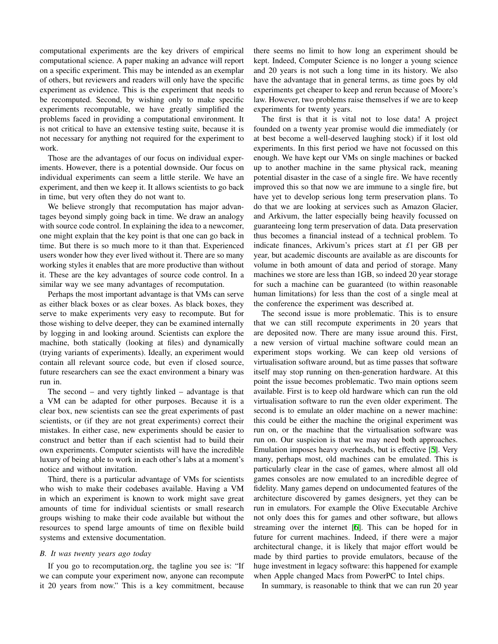computational experiments are the key drivers of empirical computational science. A paper making an advance will report on a specific experiment. This may be intended as an exemplar of others, but reviewers and readers will only have the specific experiment as evidence. This is the experiment that needs to be recomputed. Second, by wishing only to make specific experiments recomputable, we have greatly simplified the problems faced in providing a computational environment. It is not critical to have an extensive testing suite, because it is not necessary for anything not required for the experiment to work.

Those are the advantages of our focus on individual experiments. However, there is a potential downside. Our focus on individual experiments can seem a little sterile. We have an experiment, and then we keep it. It allows scientists to go back in time, but very often they do not want to.

We believe strongly that recomputation has major advantages beyond simply going back in time. We draw an analogy with source code control. In explaining the idea to a newcomer, one might explain that the key point is that one can go back in time. But there is so much more to it than that. Experienced users wonder how they ever lived without it. There are so many working styles it enables that are more productive than without it. These are the key advantages of source code control. In a similar way we see many advantages of recomputation.

Perhaps the most important advantage is that VMs can serve as either black boxes or as clear boxes. As black boxes, they serve to make experiments very easy to recompute. But for those wishing to delve deeper, they can be examined internally by logging in and looking around. Scientists can explore the machine, both statically (looking at files) and dynamically (trying variants of experiments). Ideally, an experiment would contain all relevant source code, but even if closed source, future researchers can see the exact environment a binary was run in.

The second – and very tightly linked – advantage is that a VM can be adapted for other purposes. Because it is a clear box, new scientists can see the great experiments of past scientists, or (if they are not great experiments) correct their mistakes. In either case, new experiments should be easier to construct and better than if each scientist had to build their own experiments. Computer scientists will have the incredible luxury of being able to work in each other's labs at a moment's notice and without invitation.

Third, there is a particular advantage of VMs for scientists who wish to make their codebases available. Having a VM in which an experiment is known to work might save great amounts of time for individual scientists or small research groups wishing to make their code available but without the resources to spend large amounts of time on flexible build systems and extensive documentation.

## *B. It was twenty years ago today*

If you go to recomputation.org, the tagline you see is: "If we can compute your experiment now, anyone can recompute it 20 years from now." This is a key commitment, because there seems no limit to how long an experiment should be kept. Indeed, Computer Science is no longer a young science and 20 years is not such a long time in its history. We also have the advantage that in general terms, as time goes by old experiments get cheaper to keep and rerun because of Moore's law. However, two problems raise themselves if we are to keep experiments for twenty years.

The first is that it is vital not to lose data! A project founded on a twenty year promise would die immediately (or at best become a well-deserved laughing stock) if it lost old experiments. In this first period we have not focussed on this enough. We have kept our VMs on single machines or backed up to another machine in the same physical rack, meaning potential disaster in the case of a single fire. We have recently improved this so that now we are immune to a single fire, but have yet to develop serious long term preservation plans. To do that we are looking at services such as Amazon Glacier, and Arkivum, the latter especially being heavily focussed on guaranteeing long term preservation of data. Data preservation thus becomes a financial instead of a technical problem. To indicate finances, Arkivum's prices start at *£*1 per GB per year, but academic discounts are available as are discounts for volume in both amount of data and period of storage. Many machines we store are less than 1GB, so indeed 20 year storage for such a machine can be guaranteed (to within reasonable human limitations) for less than the cost of a single meal at the conference the experiment was described at.

The second issue is more problematic. This is to ensure that we can still recompute experiments in 20 years that are deposited now. There are many issue around this. First, a new version of virtual machine software could mean an experiment stops working. We can keep old versions of virtualisation software around, but as time passes that software itself may stop running on then-generation hardware. At this point the issue becomes problematic. Two main options seem available. First is to keep old hardware which can run the old virtualisation software to run the even older experiment. The second is to emulate an older machine on a newer machine: this could be either the machine the original experiment was run on, or the machine that the virtualisation software was run on. Our suspicion is that we may need both approaches. Emulation imposes heavy overheads, but is effective [\[5](#page-5-4)]. Very many, perhaps most, old machines can be emulated. This is particularly clear in the case of games, where almost all old games consoles are now emulated to an incredible degree of fidelity. Many games depend on undocumented features of the architecture discovered by games designers, yet they can be run in emulators. For example the Olive Executable Archive not only does this for games and other software, but allows streaming over the internet [[6\]](#page-5-5). This can be hoped for in future for current machines. Indeed, if there were a major architectural change, it is likely that major effort would be made by third parties to provide emulators, because of the huge investment in legacy software: this happened for example when Apple changed Macs from PowerPC to Intel chips.

In summary, is reasonable to think that we can run 20 year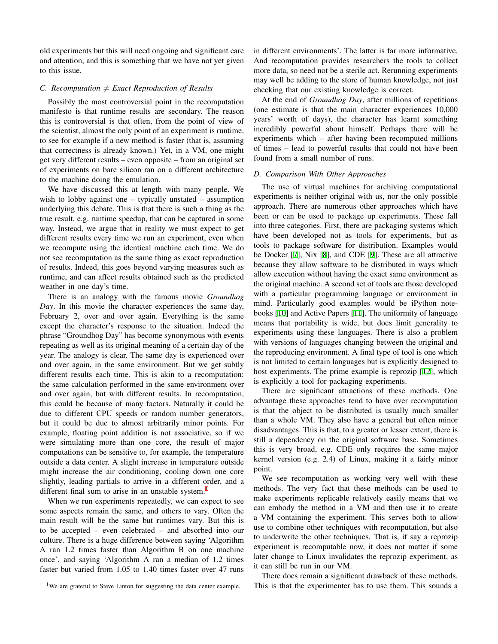old experiments but this will need ongoing and significant care and attention, and this is something that we have not yet given to this issue.

# *C. Recomputation*  $\neq$  *Exact Reproduction of Results*

Possibly the most controversial point in the recomputation manifesto is that runtime results are secondary. The reason this is controversial is that often, from the point of view of the scientist, almost the only point of an experiment is runtime, to see for example if a new method is faster (that is, assuming that correctness is already known.) Yet, in a VM, one might get very different results – even opposite – from an original set of experiments on bare silicon ran on a different architecture to the machine doing the emulation.

We have discussed this at length with many people. We wish to lobby against one – typically unstated – assumption underlying this debate. This is that there is such a thing as the true result, e.g. runtime speedup, that can be captured in some way. Instead, we argue that in reality we must expect to get different results every time we run an experiment, even when we recompute using the identical machine each time. We do not see recomputation as the same thing as exact reproduction of results. Indeed, this goes beyond varying measures such as runtime, and can affect results obtained such as the predicted weather in one day's time.

There is an analogy with the famous movie *Groundhog Day*. In this movie the character experiences the same day, February 2, over and over again. Everything is the same except the character's response to the situation. Indeed the phrase "Groundhog Day" has become synonymous with events repeating as well as its original meaning of a certain day of the year. The analogy is clear. The same day is experienced over and over again, in the same environment. But we get subtly different results each time. This is akin to a recomputation: the same calculation performed in the same environment over and over again, but with different results. In recomputation, this could be because of many factors. Naturally it could be due to different CPU speeds or random number generators, but it could be due to almost arbitrarily minor points. For example, floating point addition is not associative, so if we were simulating more than one core, the result of major computations can be sensitive to, for example, the temperature outside a data center. A slight increase in temperature outside might increase the air conditioning, cooling down one core slightly, leading partials to arrive in a different order, and a different final sum to arise in an unstable system.<sup>[1](#page-2-0)</sup>

When we run experiments repeatedly, we can expect to see some aspects remain the same, and others to vary. Often the main result will be the same but runtimes vary. But this is to be accepted – even celebrated – and absorbed into our culture. There is a huge difference between saying 'Algorithm A ran 1.2 times faster than Algorithm B on one machine once', and saying 'Algorithm A ran a median of 1.2 times faster but varied from 1.05 to 1.40 times faster over 47 runs in different environments'. The latter is far more informative. And recomputation provides researchers the tools to collect more data, so need not be a sterile act. Rerunning experiments may well be adding to the store of human knowledge, not just checking that our existing knowledge is correct.

At the end of *Groundhog Day*, after millions of repetitions (one estimate is that the main character experiences 10,000 years' worth of days), the character has learnt something incredibly powerful about himself. Perhaps there will be experiments which – after having been recomputed millions of times – lead to powerful results that could not have been found from a small number of runs.

### *D. Comparison With Other Approaches*

The use of virtual machines for archiving computational experiments is neither original with us, nor the only possible approach. There are numerous other approaches which have been or can be used to package up experiments. These fall into three categories. First, there are packaging systems which have been developed not as tools for experiments, but as tools to package software for distribution. Examples would be Docker [[7\]](#page-5-6), Nix [[8\]](#page-5-7), and CDE [[9\]](#page-5-8). These are all attractive because they allow software to be distributed in ways which allow execution without having the exact same environment as the original machine. A second set of tools are those developed with a particular programming language or environment in mind. Particularly good examples would be iPython notebooks [[10\]](#page-5-9) and Active Papers [[11\]](#page-5-10). The uniformity of language means that portability is wide, but does limit generality to experiments using these languages. There is also a problem with versions of languages changing between the original and the reproducing environment. A final type of tool is one which is not limited to certain languages but is explicitly designed to host experiments. The prime example is reprozip [\[12](#page-5-11)], which is explicitly a tool for packaging experiments.

There are significant attractions of these methods. One advantage these approaches tend to have over recomputation is that the object to be distributed is usually much smaller than a whole VM. They also have a general but often minor disadvantages. This is that, to a greater or lesser extent, there is still a dependency on the original software base. Sometimes this is very broad, e.g. CDE only requires the same major kernel version (e.g. 2.4) of Linux, making it a fairly minor point.

We see recomputation as working very well with these methods. The very fact that these methods can be used to make experiments replicable relatively easily means that we can embody the method in a VM and then use it to create a VM containing the experiment. This serves both to allow use to combine other techniques with recomputation, but also to underwrite the other techniques. That is, if say a reprozip experiment is recomputable now, it does not matter if some later change to Linux invalidates the reprozip experiment, as it can still be run in our VM.

There does remain a significant drawback of these methods. This is that the experimenter has to use them. This sounds a

<span id="page-2-0"></span><sup>&</sup>lt;sup>1</sup>We are grateful to Steve Linton for suggesting the data center example.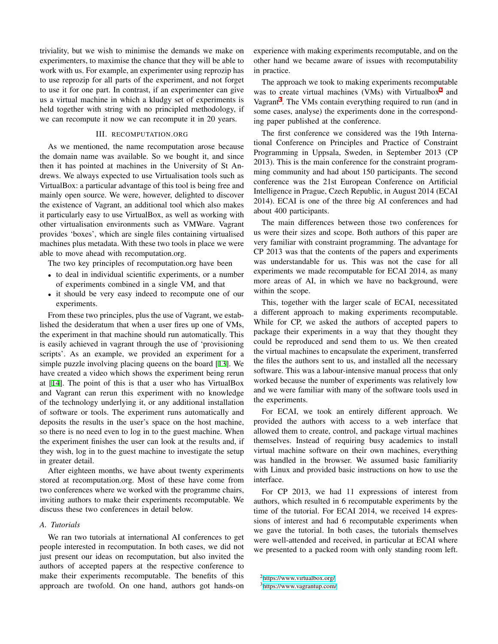triviality, but we wish to minimise the demands we make on experimenters, to maximise the chance that they will be able to work with us. For example, an experimenter using reprozip has to use reprozip for all parts of the experiment, and not forget to use it for one part. In contrast, if an experimenter can give us a virtual machine in which a kludgy set of experiments is held together with string with no principled methodology, if we can recompute it now we can recompute it in 20 years.

## III. RECOMPUTATION.ORG

As we mentioned, the name recomputation arose because the domain name was available. So we bought it, and since then it has pointed at machines in the University of St Andrews. We always expected to use Virtualisation tools such as VirtualBox: a particular advantage of this tool is being free and mainly open source. We were, however, delighted to discover the existence of Vagrant, an additional tool which also makes it particularly easy to use VirtualBox, as well as working with other virtualisation environments such as VMWare. Vagrant provides 'boxes', which are single files containing virtualised machines plus metadata. With these two tools in place we were able to move ahead with recomputation.org.

The two key principles of recomputation.org have been

- *•* to deal in individual scientific experiments, or a number of experiments combined in a single VM, and that
- *•* it should be very easy indeed to recompute one of our experiments.

From these two principles, plus the use of Vagrant, we established the desideratum that when a user fires up one of VMs, the experiment in that machine should run automatically. This is easily achieved in vagrant through the use of 'provisioning scripts'. As an example, we provided an experiment for a simple puzzle involving placing queens on the board [\[13](#page-5-12)]. We have created a video which shows the experiment being rerun at [[14\]](#page-5-13). The point of this is that a user who has VirtualBox and Vagrant can rerun this experiment with no knowledge of the technology underlying it, or any additional installation of software or tools. The experiment runs automatically and deposits the results in the user's space on the host machine, so there is no need even to log in to the guest machine. When the experiment finishes the user can look at the results and, if they wish, log in to the guest machine to investigate the setup in greater detail.

After eighteen months, we have about twenty experiments stored at recomputation.org. Most of these have come from two conferences where we worked with the programme chairs, inviting authors to make their experiments recomputable. We discuss these two conferences in detail below.

#### *A. Tutorials*

We ran two tutorials at international AI conferences to get people interested in recomputation. In both cases, we did not just present our ideas on recomputation, but also invited the authors of accepted papers at the respective conference to make their experiments recomputable. The benefits of this approach are twofold. On one hand, authors got hands-on

experience with making experiments recomputable, and on the other hand we became aware of issues with recomputability in practice.

The approach we took to making experiments recomputable was to create virtual machines (VMs) with Virtualbox<sup>[2](#page-3-0)</sup> and Vagrant<sup>[3](#page-3-1)</sup>. The VMs contain everything required to run (and in some cases, analyse) the experiments done in the corresponding paper published at the conference.

The first conference we considered was the 19th International Conference on Principles and Practice of Constraint Programming in Uppsala, Sweden, in September 2013 (CP 2013). This is the main conference for the constraint programming community and had about 150 participants. The second conference was the 21st European Conference on Artificial Intelligence in Prague, Czech Republic, in August 2014 (ECAI 2014). ECAI is one of the three big AI conferences and had about 400 participants.

The main differences between those two conferences for us were their sizes and scope. Both authors of this paper are very familiar with constraint programming. The advantage for CP 2013 was that the contents of the papers and experiments was understandable for us. This was not the case for all experiments we made recomputable for ECAI 2014, as many more areas of AI, in which we have no background, were within the scope.

This, together with the larger scale of ECAI, necessitated a different approach to making experiments recomputable. While for CP, we asked the authors of accepted papers to package their experiments in a way that they thought they could be reproduced and send them to us. We then created the virtual machines to encapsulate the experiment, transferred the files the authors sent to us, and installed all the necessary software. This was a labour-intensive manual process that only worked because the number of experiments was relatively low and we were familiar with many of the software tools used in the experiments.

For ECAI, we took an entirely different approach. We provided the authors with access to a web interface that allowed them to create, control, and package virtual machines themselves. Instead of requiring busy academics to install virtual machine software on their own machines, everything was handled in the browser. We assumed basic familiarity with Linux and provided basic instructions on how to use the interface.

For CP 2013, we had 11 expressions of interest from authors, which resulted in 6 recomputable experiments by the time of the tutorial. For ECAI 2014, we received 14 expressions of interest and had 6 recomputable experiments when we gave the tutorial. In both cases, the tutorials themselves were well-attended and received, in particular at ECAI where we presented to a packed room with only standing room left.

<span id="page-3-0"></span><sup>2</sup><https://www.virtualbox.org/>

<span id="page-3-1"></span><sup>3</sup><https://www.vagrantup.com/>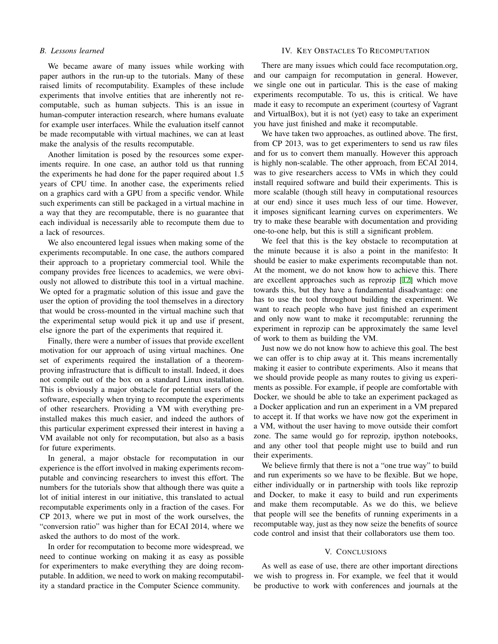#### *B. Lessons learned*

We became aware of many issues while working with paper authors in the run-up to the tutorials. Many of these raised limits of recomputability. Examples of these include experiments that involve entities that are inherently not recomputable, such as human subjects. This is an issue in human-computer interaction research, where humans evaluate for example user interfaces. While the evaluation itself cannot be made recomputable with virtual machines, we can at least make the analysis of the results recomputable.

Another limitation is posed by the resources some experiments require. In one case, an author told us that running the experiments he had done for the paper required about 1.5 years of CPU time. In another case, the experiments relied on a graphics card with a GPU from a specific vendor. While such experiments can still be packaged in a virtual machine in a way that they are recomputable, there is no guarantee that each individual is necessarily able to recompute them due to a lack of resources.

We also encountered legal issues when making some of the experiments recomputable. In one case, the authors compared their approach to a proprietary commercial tool. While the company provides free licences to academics, we were obviously not allowed to distribute this tool in a virtual machine. We opted for a pragmatic solution of this issue and gave the user the option of providing the tool themselves in a directory that would be cross-mounted in the virtual machine such that the experimental setup would pick it up and use if present, else ignore the part of the experiments that required it.

Finally, there were a number of issues that provide excellent motivation for our approach of using virtual machines. One set of experiments required the installation of a theoremproving infrastructure that is difficult to install. Indeed, it does not compile out of the box on a standard Linux installation. This is obviously a major obstacle for potential users of the software, especially when trying to recompute the experiments of other researchers. Providing a VM with everything preinstalled makes this much easier, and indeed the authors of this particular experiment expressed their interest in having a VM available not only for recomputation, but also as a basis for future experiments.

In general, a major obstacle for recomputation in our experience is the effort involved in making experiments recomputable and convincing researchers to invest this effort. The numbers for the tutorials show that although there was quite a lot of initial interest in our initiative, this translated to actual recomputable experiments only in a fraction of the cases. For CP 2013, where we put in most of the work ourselves, the "conversion ratio" was higher than for ECAI 2014, where we asked the authors to do most of the work.

In order for recomputation to become more widespread, we need to continue working on making it as easy as possible for experimenters to make everything they are doing recomputable. In addition, we need to work on making recomputability a standard practice in the Computer Science community.

### IV. KEY OBSTACLES TO RECOMPUTATION

There are many issues which could face recomputation.org, and our campaign for recomputation in general. However, we single one out in particular. This is the ease of making experiments recomputable. To us, this is critical. We have made it easy to recompute an experiment (courtesy of Vagrant and VirtualBox), but it is not (yet) easy to take an experiment you have just finished and make it recomputable.

We have taken two approaches, as outlined above. The first, from CP 2013, was to get experimenters to send us raw files and for us to convert them manually. However this approach is highly non-scalable. The other approach, from ECAI 2014, was to give researchers access to VMs in which they could install required software and build their experiments. This is more scalable (though still heavy in computational resources at our end) since it uses much less of our time. However, it imposes significant learning curves on experimenters. We try to make these bearable with documentation and providing one-to-one help, but this is still a significant problem.

We feel that this is the key obstacle to recomputation at the minute because it is also a point in the manifesto: It should be easier to make experiments recomputable than not. At the moment, we do not know how to achieve this. There are excellent approaches such as reprozip [[12\]](#page-5-11) which move towards this, but they have a fundamental disadvantage: one has to use the tool throughout building the experiment. We want to reach people who have just finished an experiment and only now want to make it recomputable: rerunning the experiment in reprozip can be approximately the same level of work to them as building the VM.

Just now we do not know how to achieve this goal. The best we can offer is to chip away at it. This means incrementally making it easier to contribute experiments. Also it means that we should provide people as many routes to giving us experiments as possible. For example, if people are comfortable with Docker, we should be able to take an experiment packaged as a Docker application and run an experiment in a VM prepared to accept it. If that works we have now got the experiment in a VM, without the user having to move outside their comfort zone. The same would go for reprozip, ipython notebooks, and any other tool that people might use to build and run their experiments.

We believe firmly that there is not a "one true way" to build and run experiments so we have to be flexible. But we hope, either individually or in partnership with tools like reprozip and Docker, to make it easy to build and run experiments and make them recomputable. As we do this, we believe that people will see the benefits of running experiments in a recomputable way, just as they now seize the benefits of source code control and insist that their collaborators use them too.

#### V. CONCLUSIONS

As well as ease of use, there are other important directions we wish to progress in. For example, we feel that it would be productive to work with conferences and journals at the